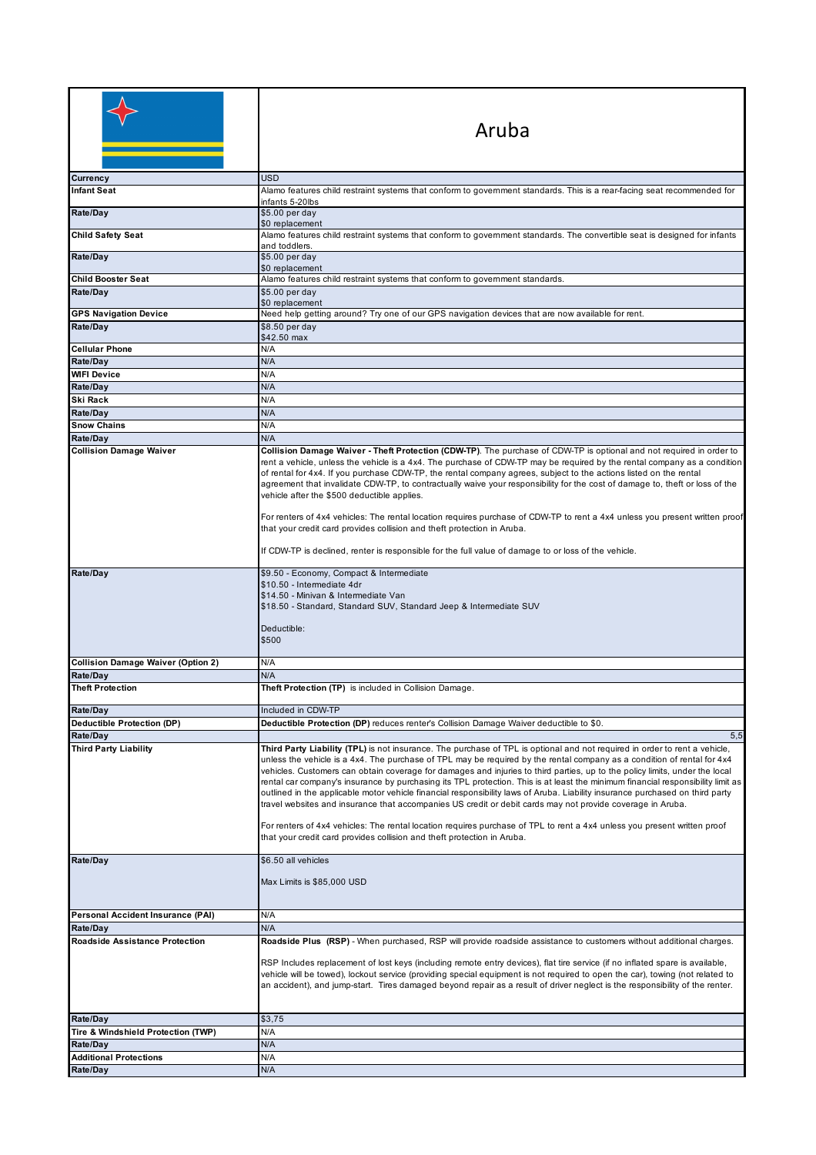|                                           | Aruba                                                                                                                                                                                                                                                                                                                                                                                                                                                                                                                                                                                                                                                                                                                                                                                                                                                                                                                                                                         |
|-------------------------------------------|-------------------------------------------------------------------------------------------------------------------------------------------------------------------------------------------------------------------------------------------------------------------------------------------------------------------------------------------------------------------------------------------------------------------------------------------------------------------------------------------------------------------------------------------------------------------------------------------------------------------------------------------------------------------------------------------------------------------------------------------------------------------------------------------------------------------------------------------------------------------------------------------------------------------------------------------------------------------------------|
| Currency                                  | <b>USD</b>                                                                                                                                                                                                                                                                                                                                                                                                                                                                                                                                                                                                                                                                                                                                                                                                                                                                                                                                                                    |
| Infant Seat                               | Alamo features child restraint systems that conform to government standards. This is a rear-facing seat recommended for                                                                                                                                                                                                                                                                                                                                                                                                                                                                                                                                                                                                                                                                                                                                                                                                                                                       |
| Rate/Day                                  | infants 5-20lbs<br>\$5.00 per day                                                                                                                                                                                                                                                                                                                                                                                                                                                                                                                                                                                                                                                                                                                                                                                                                                                                                                                                             |
|                                           | \$0 replacement                                                                                                                                                                                                                                                                                                                                                                                                                                                                                                                                                                                                                                                                                                                                                                                                                                                                                                                                                               |
| <b>Child Safety Seat</b>                  | Alamo features child restraint systems that conform to government standards. The convertible seat is designed for infants<br>and toddlers.                                                                                                                                                                                                                                                                                                                                                                                                                                                                                                                                                                                                                                                                                                                                                                                                                                    |
| Rate/Day                                  | \$5.00 per day                                                                                                                                                                                                                                                                                                                                                                                                                                                                                                                                                                                                                                                                                                                                                                                                                                                                                                                                                                |
| <b>Child Booster Seat</b>                 | \$0 replacement                                                                                                                                                                                                                                                                                                                                                                                                                                                                                                                                                                                                                                                                                                                                                                                                                                                                                                                                                               |
| Rate/Day                                  | Alamo features child restraint systems that conform to government standards.<br>$$5.00$ per day                                                                                                                                                                                                                                                                                                                                                                                                                                                                                                                                                                                                                                                                                                                                                                                                                                                                               |
|                                           | \$0 replacement                                                                                                                                                                                                                                                                                                                                                                                                                                                                                                                                                                                                                                                                                                                                                                                                                                                                                                                                                               |
| <b>GPS Navigation Device</b>              | Need help getting around? Try one of our GPS navigation devices that are now available for rent.                                                                                                                                                                                                                                                                                                                                                                                                                                                                                                                                                                                                                                                                                                                                                                                                                                                                              |
| Rate/Day                                  | \$8.50 per day                                                                                                                                                                                                                                                                                                                                                                                                                                                                                                                                                                                                                                                                                                                                                                                                                                                                                                                                                                |
|                                           | \$42.50 max                                                                                                                                                                                                                                                                                                                                                                                                                                                                                                                                                                                                                                                                                                                                                                                                                                                                                                                                                                   |
| <b>Cellular Phone</b>                     | N/A                                                                                                                                                                                                                                                                                                                                                                                                                                                                                                                                                                                                                                                                                                                                                                                                                                                                                                                                                                           |
| Rate/Day                                  | N/A                                                                                                                                                                                                                                                                                                                                                                                                                                                                                                                                                                                                                                                                                                                                                                                                                                                                                                                                                                           |
| <b>WIFI Device</b>                        | N/A                                                                                                                                                                                                                                                                                                                                                                                                                                                                                                                                                                                                                                                                                                                                                                                                                                                                                                                                                                           |
| Rate/Day                                  | N/A                                                                                                                                                                                                                                                                                                                                                                                                                                                                                                                                                                                                                                                                                                                                                                                                                                                                                                                                                                           |
| Ski Rack                                  | N/A                                                                                                                                                                                                                                                                                                                                                                                                                                                                                                                                                                                                                                                                                                                                                                                                                                                                                                                                                                           |
| Rate/Dav                                  | N/A                                                                                                                                                                                                                                                                                                                                                                                                                                                                                                                                                                                                                                                                                                                                                                                                                                                                                                                                                                           |
| <b>Snow Chains</b>                        | N/A                                                                                                                                                                                                                                                                                                                                                                                                                                                                                                                                                                                                                                                                                                                                                                                                                                                                                                                                                                           |
| Rate/Day                                  | N/A                                                                                                                                                                                                                                                                                                                                                                                                                                                                                                                                                                                                                                                                                                                                                                                                                                                                                                                                                                           |
| <b>Collision Damage Waiver</b>            | Collision Damage Waiver - Theft Protection (CDW-TP). The purchase of CDW-TP is optional and not required in order to<br>rent a vehicle, unless the vehicle is a 4x4. The purchase of CDW-TP may be required by the rental company as a condition<br>of rental for 4x4. If you purchase CDW-TP, the rental company agrees, subject to the actions listed on the rental<br>agreement that invalidate CDW-TP, to contractually waive your responsibility for the cost of damage to, theft or loss of the<br>vehicle after the \$500 deductible applies.<br>For renters of 4x4 vehicles: The rental location requires purchase of CDW-TP to rent a 4x4 unless you present written proof<br>that your credit card provides collision and theft protection in Aruba.                                                                                                                                                                                                                |
|                                           | If CDW-TP is declined, renter is responsible for the full value of damage to or loss of the vehicle.                                                                                                                                                                                                                                                                                                                                                                                                                                                                                                                                                                                                                                                                                                                                                                                                                                                                          |
| Rate/Day                                  | \$9.50 - Economy, Compact & Intermediate<br>\$10.50 - Intermediate 4dr<br>\$14.50 - Minivan & Intermediate Van<br>\$18.50 - Standard, Standard SUV, Standard Jeep & Intermediate SUV<br>Deductible:<br>\$500                                                                                                                                                                                                                                                                                                                                                                                                                                                                                                                                                                                                                                                                                                                                                                  |
| <b>Collision Damage Waiver (Option 2)</b> | N/A                                                                                                                                                                                                                                                                                                                                                                                                                                                                                                                                                                                                                                                                                                                                                                                                                                                                                                                                                                           |
| Rate/Day                                  | N/A                                                                                                                                                                                                                                                                                                                                                                                                                                                                                                                                                                                                                                                                                                                                                                                                                                                                                                                                                                           |
| <b>Theft Protection</b>                   | Theft Protection (TP) is included in Collision Damage.                                                                                                                                                                                                                                                                                                                                                                                                                                                                                                                                                                                                                                                                                                                                                                                                                                                                                                                        |
| Rate/Day                                  | Included in CDW-TP                                                                                                                                                                                                                                                                                                                                                                                                                                                                                                                                                                                                                                                                                                                                                                                                                                                                                                                                                            |
| <b>Deductible Protection (DP)</b>         | Deductible Protection (DP) reduces renter's Collision Damage Waiver deductible to \$0.                                                                                                                                                                                                                                                                                                                                                                                                                                                                                                                                                                                                                                                                                                                                                                                                                                                                                        |
| Rate/Day                                  | 5,5                                                                                                                                                                                                                                                                                                                                                                                                                                                                                                                                                                                                                                                                                                                                                                                                                                                                                                                                                                           |
| <b>Third Party Liability</b>              | Third Party Liability (TPL) is not insurance. The purchase of TPL is optional and not required in order to rent a vehicle,<br>unless the vehicle is a 4x4. The purchase of TPL may be required by the rental company as a condition of rental for 4x4<br>vehicles. Customers can obtain coverage for damages and injuries to third parties, up to the policy limits, under the local<br>rental car company's insurance by purchasing its TPL protection. This is at least the minimum financial responsibility limit as<br>outlined in the applicable motor vehicle financial responsibility laws of Aruba. Liability insurance purchased on third party<br>travel websites and insurance that accompanies US credit or debit cards may not provide coverage in Aruba.<br>For renters of 4x4 vehicles: The rental location requires purchase of TPL to rent a 4x4 unless you present written proof<br>that your credit card provides collision and theft protection in Aruba. |
| Rate/Day                                  | \$6.50 all vehicles                                                                                                                                                                                                                                                                                                                                                                                                                                                                                                                                                                                                                                                                                                                                                                                                                                                                                                                                                           |
|                                           | Max Limits is \$85,000 USD                                                                                                                                                                                                                                                                                                                                                                                                                                                                                                                                                                                                                                                                                                                                                                                                                                                                                                                                                    |
| Personal Accident Insurance (PAI)         | N/A                                                                                                                                                                                                                                                                                                                                                                                                                                                                                                                                                                                                                                                                                                                                                                                                                                                                                                                                                                           |
| Rate/Day                                  | N/A                                                                                                                                                                                                                                                                                                                                                                                                                                                                                                                                                                                                                                                                                                                                                                                                                                                                                                                                                                           |
| <b>Roadside Assistance Protection</b>     | Roadside Plus (RSP) - When purchased, RSP will provide roadside assistance to customers without additional charges.                                                                                                                                                                                                                                                                                                                                                                                                                                                                                                                                                                                                                                                                                                                                                                                                                                                           |
|                                           | RSP Includes replacement of lost keys (including remote entry devices), flat tire service (if no inflated spare is available,<br>vehicle will be towed), lockout service (providing special equipment is not required to open the car), towing (not related to<br>an accident), and jump-start. Tires damaged beyond repair as a result of driver neglect is the responsibility of the renter.                                                                                                                                                                                                                                                                                                                                                                                                                                                                                                                                                                                |
| Rate/Day                                  | \$3,75                                                                                                                                                                                                                                                                                                                                                                                                                                                                                                                                                                                                                                                                                                                                                                                                                                                                                                                                                                        |
| Tire & Windshield Protection (TWP)        | N/A                                                                                                                                                                                                                                                                                                                                                                                                                                                                                                                                                                                                                                                                                                                                                                                                                                                                                                                                                                           |
| Rate/Day                                  | N/A                                                                                                                                                                                                                                                                                                                                                                                                                                                                                                                                                                                                                                                                                                                                                                                                                                                                                                                                                                           |
| <b>Additional Protections</b>             | N/A                                                                                                                                                                                                                                                                                                                                                                                                                                                                                                                                                                                                                                                                                                                                                                                                                                                                                                                                                                           |
| Rate/Day                                  | N/A                                                                                                                                                                                                                                                                                                                                                                                                                                                                                                                                                                                                                                                                                                                                                                                                                                                                                                                                                                           |